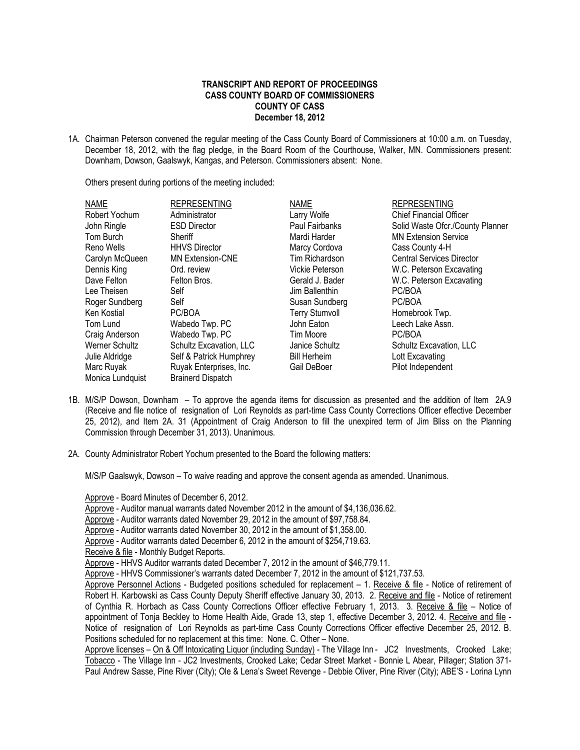## **TRANSCRIPT AND REPORT OF PROCEEDINGS CASS COUNTY BOARD OF COMMISSIONERS COUNTY OF CASS December 18, 2012**

1A. Chairman Peterson convened the regular meeting of the Cass County Board of Commissioners at 10:00 a.m. on Tuesday, December 18, 2012, with the flag pledge, in the Board Room of the Courthouse, Walker, MN. Commissioners present: Downham, Dowson, Gaalswyk, Kangas, and Peterson. Commissioners absent: None.

Others present during portions of the meeting included:

| <b>NAME</b>      | <b>REPRESENTING</b>      | <b>NAME</b>           | <b>REPRESENTING</b>              |
|------------------|--------------------------|-----------------------|----------------------------------|
| Robert Yochum    | Administrator            | Larry Wolfe           | <b>Chief Financial Officer</b>   |
| John Ringle      | <b>ESD Director</b>      | Paul Fairbanks        | Solid Waste Ofcr./County Planner |
| Tom Burch        | Sheriff                  | Mardi Harder          | <b>MN Extension Service</b>      |
| Reno Wells       | <b>HHVS Director</b>     | Marcy Cordova         | Cass County 4-H                  |
| Carolyn McQueen  | <b>MN Extension-CNE</b>  | Tim Richardson        | <b>Central Services Director</b> |
| Dennis King      | Ord. review              | Vickie Peterson       | W.C. Peterson Excavating         |
| Dave Felton      | Felton Bros.             | Gerald J. Bader       | W.C. Peterson Excavating         |
| Lee Theisen      | Self                     | Jim Ballenthin        | PC/BOA                           |
| Roger Sundberg   | Self                     | Susan Sundberg        | PC/BOA                           |
| Ken Kostial      | PC/BOA                   | <b>Terry Stumvoll</b> | Homebrook Twp.                   |
| Tom Lund         | Wabedo Twp. PC           | John Eaton            | Leech Lake Assn.                 |
| Craig Anderson   | Wabedo Twp. PC           | Tim Moore             | PC/BOA                           |
| Werner Schultz   | Schultz Excavation, LLC  | Janice Schultz        | Schultz Excavation, LLC          |
| Julie Aldridge   | Self & Patrick Humphrey  | <b>Bill Herheim</b>   | Lott Excavating                  |
| Marc Ruyak       | Ruyak Enterprises, Inc.  | Gail DeBoer           | Pilot Independent                |
| Monica Lundquist | <b>Brainerd Dispatch</b> |                       |                                  |

- 1B. M/S/P Dowson, Downham To approve the agenda items for discussion as presented and the addition of Item 2A.9 (Receive and file notice of resignation of Lori Reynolds as part-time Cass County Corrections Officer effective December 25, 2012), and Item 2A. 31 (Appointment of Craig Anderson to fill the unexpired term of Jim Bliss on the Planning Commission through December 31, 2013). Unanimous.
- 2A. County Administrator Robert Yochum presented to the Board the following matters:

M/S/P Gaalswyk, Dowson – To waive reading and approve the consent agenda as amended. Unanimous.

Approve - Board Minutes of December 6, 2012.

Approve - Auditor manual warrants dated November 2012 in the amount of \$4,136,036.62.

Approve - Auditor warrants dated November 29, 2012 in the amount of \$97,758.84.

Approve - Auditor warrants dated November 30, 2012 in the amount of \$1,358.00.

Approve - Auditor warrants dated December 6, 2012 in the amount of \$254,719.63.

Receive & file - Monthly Budget Reports.

Approve - HHVS Auditor warrants dated December 7, 2012 in the amount of \$46,779.11.

Approve - HHVS Commissioner's warrants dated December 7, 2012 in the amount of \$121,737.53.

Approve Personnel Actions - Budgeted positions scheduled for replacement – 1. Receive & file - Notice of retirement of Robert H. Karbowski as Cass County Deputy Sheriff effective January 30, 2013. 2. Receive and file - Notice of retirement of Cynthia R. Horbach as Cass County Corrections Officer effective February 1, 2013. 3. Receive & file - Notice of appointment of Tonja Beckley to Home Health Aide, Grade 13, step 1, effective December 3, 2012. 4. Receive and file - Notice of resignation of Lori Reynolds as part-time Cass County Corrections Officer effective December 25, 2012. B. Positions scheduled for no replacement at this time: None. C. Other – None.

 Approve licenses – On & Off Intoxicating Liquor (including Sunday) - The Village Inn - JC2 Investments, Crooked Lake; Tobacco - The Village Inn - JC2 Investments, Crooked Lake; Cedar Street Market - Bonnie L Abear, Pillager; Station 371- Paul Andrew Sasse, Pine River (City); Ole & Lena's Sweet Revenge - Debbie Oliver, Pine River (City); ABE'S - Lorina Lynn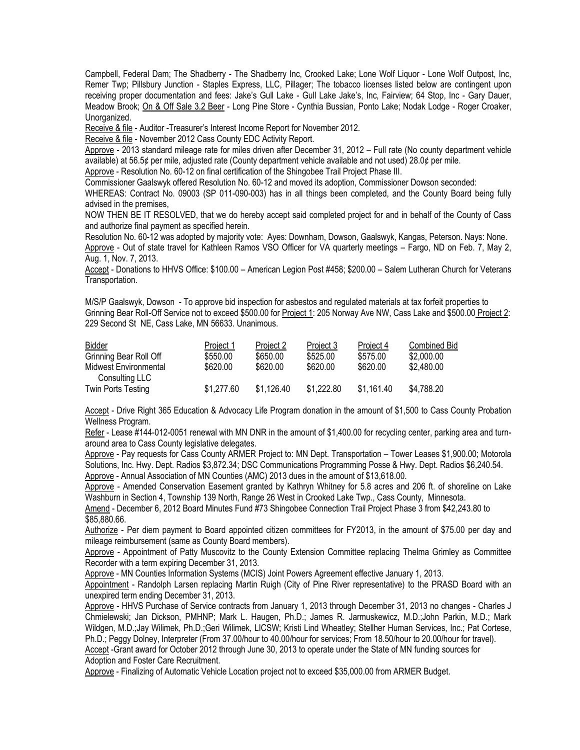Campbell, Federal Dam; The Shadberry - The Shadberry Inc, Crooked Lake; Lone Wolf Liquor - Lone Wolf Outpost, Inc, Remer Twp; Pillsbury Junction - Staples Express, LLC, Pillager; The tobacco licenses listed below are contingent upon receiving proper documentation and fees: Jake's Gull Lake - Gull Lake Jake's, Inc, Fairview; 64 Stop, Inc - Gary Dauer, Meadow Brook; On & Off Sale 3.2 Beer - Long Pine Store - Cynthia Bussian, Ponto Lake; Nodak Lodge - Roger Croaker, Unorganized.

Receive & file - Auditor -Treasurer's Interest Income Report for November 2012.

Receive & file - November 2012 Cass County EDC Activity Report.

Approve - 2013 standard mileage rate for miles driven after December 31, 2012 – Full rate (No county department vehicle available) at 56.5¢ per mile, adjusted rate (County department vehicle available and not used) 28.0¢ per mile.

Approve - Resolution No. 60-12 on final certification of the Shingobee Trail Project Phase III.

Commissioner Gaalswyk offered Resolution No. 60-12 and moved its adoption, Commissioner Dowson seconded:

WHEREAS: Contract No. 09003 (SP 011-090-003) has in all things been completed, and the County Board being fully advised in the premises,

NOW THEN BE IT RESOLVED, that we do hereby accept said completed project for and in behalf of the County of Cass and authorize final payment as specified herein.

Resolution No. 60-12 was adopted by majority vote: Ayes: Downham, Dowson, Gaalswyk, Kangas, Peterson. Nays: None. Approve - Out of state travel for Kathleen Ramos VSO Officer for VA quarterly meetings – Fargo, ND on Feb. 7, May 2, Aug. 1, Nov. 7, 2013.

Accept - Donations to HHVS Office: \$100.00 – American Legion Post #458; \$200.00 – Salem Lutheran Church for Veterans Transportation.

M/S/P Gaalswyk, Dowson - To approve bid inspection for asbestos and regulated materials at tax forfeit properties to Grinning Bear Roll-Off Service not to exceed \$500.00 for Project 1: 205 Norway Ave NW, Cass Lake and \$500.00 Project 2: 229 Second St NE, Cass Lake, MN 56633. Unanimous.

| Bidder                 | Project 1  | Project 2  | Project 3  | Project 4  | <b>Combined Bid</b> |
|------------------------|------------|------------|------------|------------|---------------------|
| Grinning Bear Roll Off | \$550.00   | \$650.00   | \$525.00   | \$575.00   | \$2,000.00          |
| Midwest Environmental  | \$620.00   | \$620.00   | \$620.00   | \$620.00   | \$2.480.00          |
| Consulting LLC         |            |            |            |            |                     |
| Twin Ports Testing     | \$1.277.60 | \$1.126.40 | \$1.222.80 | \$1,161.40 | \$4.788.20          |
|                        |            |            |            |            |                     |

Accept - Drive Right 365 Education & Advocacy Life Program donation in the amount of \$1,500 to Cass County Probation Wellness Program.

Refer - Lease #144-012-0051 renewal with MN DNR in the amount of \$1,400.00 for recycling center, parking area and turnaround area to Cass County legislative delegates.

Approve - Pay requests for Cass County ARMER Project to: MN Dept. Transportation – Tower Leases \$1,900.00; Motorola Solutions, Inc. Hwy. Dept. Radios \$3,872.34; DSC Communications Programming Posse & Hwy. Dept. Radios \$6,240.54. Approve - Annual Association of MN Counties (AMC) 2013 dues in the amount of \$13,618.00.

Approve - Amended Conservation Easement granted by Kathryn Whitney for 5.8 acres and 206 ft. of shoreline on Lake Washburn in Section 4, Township 139 North, Range 26 West in Crooked Lake Twp., Cass County, Minnesota.

Amend - December 6, 2012 Board Minutes Fund #73 Shingobee Connection Trail Project Phase 3 from \$42,243.80 to \$85,880.66.

Authorize - Per diem payment to Board appointed citizen committees for FY2013, in the amount of \$75.00 per day and mileage reimbursement (same as County Board members).

Approve - Appointment of Patty Muscovitz to the County Extension Committee replacing Thelma Grimley as Committee Recorder with a term expiring December 31, 2013.

Approve - MN Counties Information Systems (MCIS) Joint Powers Agreement effective January 1, 2013.

Appointment - Randolph Larsen replacing Martin Ruigh (City of Pine River representative) to the PRASD Board with an unexpired term ending December 31, 2013.

Approve - HHVS Purchase of Service contracts from January 1, 2013 through December 31, 2013 no changes - Charles J Chmielewski; Jan Dickson, PMHNP; Mark L. Haugen, Ph.D.; James R. Jarmuskewicz, M.D.;John Parkin, M.D.; Mark Wildgen, M.D.;Jay Wilimek, Ph.D.;Geri Wilimek, LICSW; Kristi Lind Wheatley; Stellher Human Services, Inc.; Pat Cortese, Ph.D.; Peggy Dolney, Interpreter (From 37.00/hour to 40.00/hour for services; From 18.50/hour to 20.00/hour for travel). Accept -Grant award for October 2012 through June 30, 2013 to operate under the State of MN funding sources for Adoption and Foster Care Recruitment.

Approve - Finalizing of Automatic Vehicle Location project not to exceed \$35,000.00 from ARMER Budget.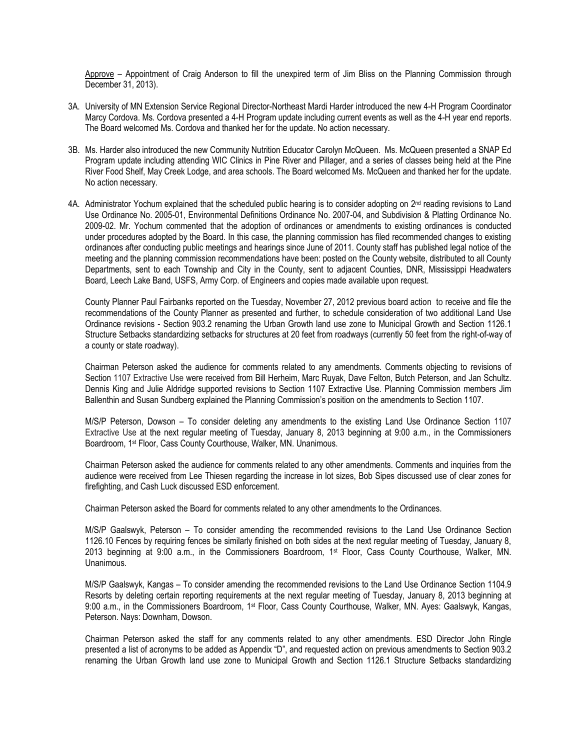Approve – Appointment of Craig Anderson to fill the unexpired term of Jim Bliss on the Planning Commission through December 31, 2013).

- 3A. University of MN Extension Service Regional Director-Northeast Mardi Harder introduced the new 4-H Program Coordinator Marcy Cordova. Ms. Cordova presented a 4-H Program update including current events as well as the 4-H year end reports. The Board welcomed Ms. Cordova and thanked her for the update. No action necessary.
- 3B. Ms. Harder also introduced the new Community Nutrition Educator Carolyn McQueen. Ms. McQueen presented a SNAP Ed Program update including attending WIC Clinics in Pine River and Pillager, and a series of classes being held at the Pine River Food Shelf, May Creek Lodge, and area schools. The Board welcomed Ms. McQueen and thanked her for the update. No action necessary.
- 4A. Administrator Yochum explained that the scheduled public hearing is to consider adopting on 2<sup>nd</sup> reading revisions to Land Use Ordinance No. 2005-01, Environmental Definitions Ordinance No. 2007-04, and Subdivision & Platting Ordinance No. 2009-02. Mr. Yochum commented that the adoption of ordinances or amendments to existing ordinances is conducted under procedures adopted by the Board. In this case, the planning commission has filed recommended changes to existing ordinances after conducting public meetings and hearings since June of 2011. County staff has published legal notice of the meeting and the planning commission recommendations have been: posted on the County website, distributed to all County Departments, sent to each Township and City in the County, sent to adjacent Counties, DNR, Mississippi Headwaters Board, Leech Lake Band, USFS, Army Corp. of Engineers and copies made available upon request.

County Planner Paul Fairbanks reported on the Tuesday, November 27, 2012 previous board action to receive and file the recommendations of the County Planner as presented and further, to schedule consideration of two additional Land Use Ordinance revisions - Section 903.2 renaming the Urban Growth land use zone to Municipal Growth and Section 1126.1 Structure Setbacks standardizing setbacks for structures at 20 feet from roadways (currently 50 feet from the right-of-way of a county or state roadway).

Chairman Peterson asked the audience for comments related to any amendments. Comments objecting to revisions of Section 1107 Extractive Use were received from Bill Herheim, Marc Ruyak, Dave Felton, Butch Peterson, and Jan Schultz. Dennis King and Julie Aldridge supported revisions to Section 1107 Extractive Use. Planning Commission members Jim Ballenthin and Susan Sundberg explained the Planning Commission's position on the amendments to Section 1107.

M/S/P Peterson, Dowson – To consider deleting any amendments to the existing Land Use Ordinance Section 1107 Extractive Use at the next regular meeting of Tuesday, January 8, 2013 beginning at 9:00 a.m., in the Commissioners Boardroom, 1st Floor, Cass County Courthouse, Walker, MN. Unanimous.

Chairman Peterson asked the audience for comments related to any other amendments. Comments and inquiries from the audience were received from Lee Thiesen regarding the increase in lot sizes, Bob Sipes discussed use of clear zones for firefighting, and Cash Luck discussed ESD enforcement.

Chairman Peterson asked the Board for comments related to any other amendments to the Ordinances.

M/S/P Gaalswyk, Peterson – To consider amending the recommended revisions to the Land Use Ordinance Section 1126.10 Fences by requiring fences be similarly finished on both sides at the next regular meeting of Tuesday, January 8, 2013 beginning at 9:00 a.m., in the Commissioners Boardroom, 1st Floor, Cass County Courthouse, Walker, MN. Unanimous.

M/S/P Gaalswyk, Kangas – To consider amending the recommended revisions to the Land Use Ordinance Section 1104.9 Resorts by deleting certain reporting requirements at the next regular meeting of Tuesday, January 8, 2013 beginning at 9:00 a.m., in the Commissioners Boardroom, 1st Floor, Cass County Courthouse, Walker, MN. Ayes: Gaalswyk, Kangas, Peterson. Nays: Downham, Dowson.

Chairman Peterson asked the staff for any comments related to any other amendments. ESD Director John Ringle presented a list of acronyms to be added as Appendix "D", and requested action on previous amendments to Section 903.2 renaming the Urban Growth land use zone to Municipal Growth and Section 1126.1 Structure Setbacks standardizing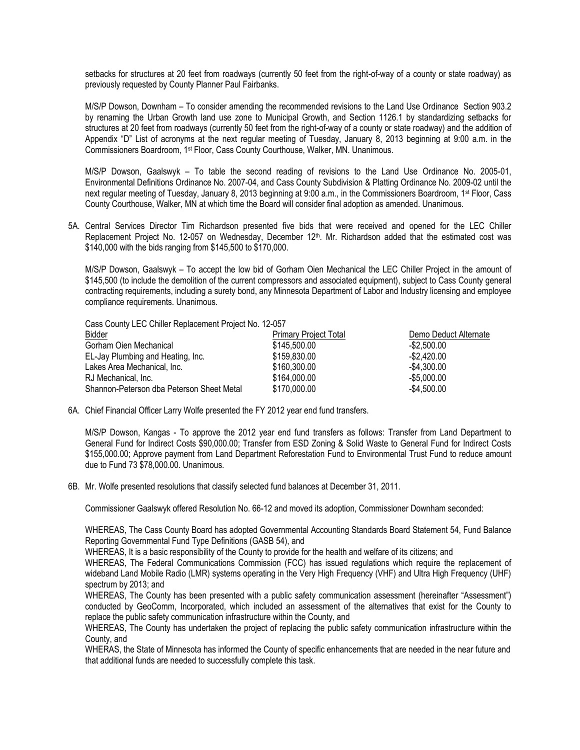setbacks for structures at 20 feet from roadways (currently 50 feet from the right-of-way of a county or state roadway) as previously requested by County Planner Paul Fairbanks.

M/S/P Dowson, Downham – To consider amending the recommended revisions to the Land Use Ordinance Section 903.2 by renaming the Urban Growth land use zone to Municipal Growth, and Section 1126.1 by standardizing setbacks for structures at 20 feet from roadways (currently 50 feet from the right-of-way of a county or state roadway) and the addition of Appendix "D" List of acronyms at the next regular meeting of Tuesday, January 8, 2013 beginning at 9:00 a.m. in the Commissioners Boardroom, 1st Floor, Cass County Courthouse, Walker, MN. Unanimous.

M/S/P Dowson, Gaalswyk – To table the second reading of revisions to the Land Use Ordinance No. 2005-01, Environmental Definitions Ordinance No. 2007-04, and Cass County Subdivision & Platting Ordinance No. 2009-02 until the next regular meeting of Tuesday, January 8, 2013 beginning at 9:00 a.m., in the Commissioners Boardroom, 1<sup>st</sup> Floor, Cass County Courthouse, Walker, MN at which time the Board will consider final adoption as amended. Unanimous.

5A. Central Services Director Tim Richardson presented five bids that were received and opened for the LEC Chiller Replacement Project No. 12-057 on Wednesday, December 12<sup>th</sup>. Mr. Richardson added that the estimated cost was \$140,000 with the bids ranging from \$145,500 to \$170,000.

M/S/P Dowson, Gaalswyk – To accept the low bid of Gorham Oien Mechanical the LEC Chiller Project in the amount of \$145,500 (to include the demolition of the current compressors and associated equipment), subject to Cass County general contracting requirements, including a surety bond, any Minnesota Department of Labor and Industry licensing and employee compliance requirements. Unanimous.

Cass County LEC Chiller Replacement Project No. 12-057

| <b>Bidder</b>                             | <b>Primary Project Total</b> | Demo Deduct Alternate |
|-------------------------------------------|------------------------------|-----------------------|
| Gorham Oien Mechanical                    | \$145,500.00                 | $-$ \$2,500.00        |
| EL-Jay Plumbing and Heating, Inc.         | \$159,830.00                 | $-$ \$2,420.00        |
| Lakes Area Mechanical, Inc.               | \$160,300,00                 | -\$4.300.00           |
| RJ Mechanical, Inc.                       | \$164,000.00                 | $-$ \$5,000.00        |
| Shannon-Peterson dba Peterson Sheet Metal | \$170,000.00                 | $-$ \$4,500.00        |

6A. Chief Financial Officer Larry Wolfe presented the FY 2012 year end fund transfers.

M/S/P Dowson, Kangas - To approve the 2012 year end fund transfers as follows: Transfer from Land Department to General Fund for Indirect Costs \$90,000.00; Transfer from ESD Zoning & Solid Waste to General Fund for Indirect Costs \$155,000.00; Approve payment from Land Department Reforestation Fund to Environmental Trust Fund to reduce amount due to Fund 73 \$78,000.00. Unanimous.

6B. Mr. Wolfe presented resolutions that classify selected fund balances at December 31, 2011.

Commissioner Gaalswyk offered Resolution No. 66-12 and moved its adoption, Commissioner Downham seconded:

WHEREAS, The Cass County Board has adopted Governmental Accounting Standards Board Statement 54, Fund Balance Reporting Governmental Fund Type Definitions (GASB 54), and

WHEREAS, It is a basic responsibility of the County to provide for the health and welfare of its citizens; and

WHEREAS, The Federal Communications Commission (FCC) has issued regulations which require the replacement of wideband Land Mobile Radio (LMR) systems operating in the Very High Frequency (VHF) and Ultra High Frequency (UHF) spectrum by 2013; and

WHEREAS, The County has been presented with a public safety communication assessment (hereinafter "Assessment") conducted by GeoComm, Incorporated, which included an assessment of the alternatives that exist for the County to replace the public safety communication infrastructure within the County, and

WHEREAS, The County has undertaken the project of replacing the public safety communication infrastructure within the County, and

WHERAS, the State of Minnesota has informed the County of specific enhancements that are needed in the near future and that additional funds are needed to successfully complete this task.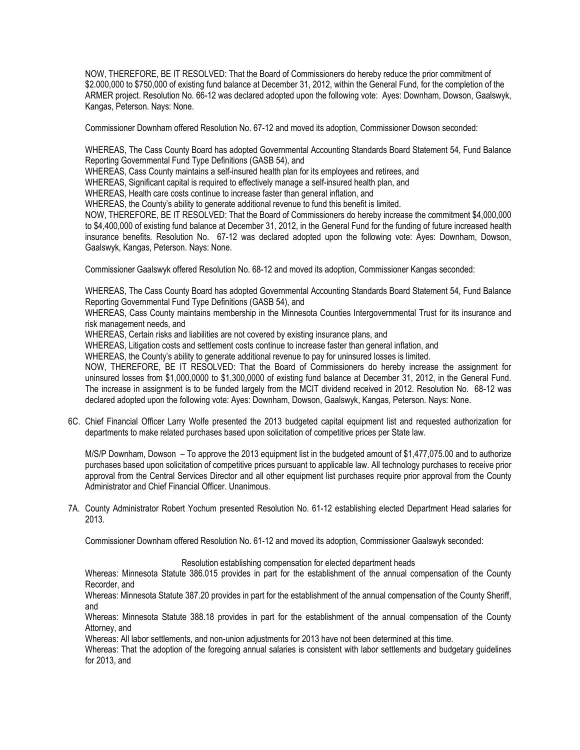NOW, THEREFORE, BE IT RESOLVED: That the Board of Commissioners do hereby reduce the prior commitment of \$2.000,000 to \$750,000 of existing fund balance at December 31, 2012, within the General Fund, for the completion of the ARMER project. Resolution No. 66-12 was declared adopted upon the following vote: Ayes: Downham, Dowson, Gaalswyk, Kangas, Peterson. Nays: None.

Commissioner Downham offered Resolution No. 67-12 and moved its adoption, Commissioner Dowson seconded:

WHEREAS, The Cass County Board has adopted Governmental Accounting Standards Board Statement 54, Fund Balance Reporting Governmental Fund Type Definitions (GASB 54), and

WHEREAS, Cass County maintains a self-insured health plan for its employees and retirees, and

WHEREAS, Significant capital is required to effectively manage a self-insured health plan, and

WHEREAS, Health care costs continue to increase faster than general inflation, and

WHEREAS, the County's ability to generate additional revenue to fund this benefit is limited.

NOW, THEREFORE, BE IT RESOLVED: That the Board of Commissioners do hereby increase the commitment \$4,000,000 to \$4,400,000 of existing fund balance at December 31, 2012, in the General Fund for the funding of future increased health insurance benefits. Resolution No. 67-12 was declared adopted upon the following vote: Ayes: Downham, Dowson, Gaalswyk, Kangas, Peterson. Nays: None.

Commissioner Gaalswyk offered Resolution No. 68-12 and moved its adoption, Commissioner Kangas seconded:

WHEREAS, The Cass County Board has adopted Governmental Accounting Standards Board Statement 54, Fund Balance Reporting Governmental Fund Type Definitions (GASB 54), and

WHEREAS, Cass County maintains membership in the Minnesota Counties Intergovernmental Trust for its insurance and risk management needs, and

WHEREAS, Certain risks and liabilities are not covered by existing insurance plans, and

WHEREAS, Litigation costs and settlement costs continue to increase faster than general inflation, and

WHEREAS, the County's ability to generate additional revenue to pay for uninsured losses is limited.

NOW, THEREFORE, BE IT RESOLVED: That the Board of Commissioners do hereby increase the assignment for uninsured losses from \$1,000,0000 to \$1,300,0000 of existing fund balance at December 31, 2012, in the General Fund. The increase in assignment is to be funded largely from the MCIT dividend received in 2012. Resolution No. 68-12 was declared adopted upon the following vote: Ayes: Downham, Dowson, Gaalswyk, Kangas, Peterson. Nays: None.

6C. Chief Financial Officer Larry Wolfe presented the 2013 budgeted capital equipment list and requested authorization for departments to make related purchases based upon solicitation of competitive prices per State law.

M/S/P Downham, Dowson – To approve the 2013 equipment list in the budgeted amount of \$1,477,075.00 and to authorize purchases based upon solicitation of competitive prices pursuant to applicable law. All technology purchases to receive prior approval from the Central Services Director and all other equipment list purchases require prior approval from the County Administrator and Chief Financial Officer. Unanimous.

7A. County Administrator Robert Yochum presented Resolution No. 61-12 establishing elected Department Head salaries for 2013.

Commissioner Downham offered Resolution No. 61-12 and moved its adoption, Commissioner Gaalswyk seconded:

Resolution establishing compensation for elected department heads

Whereas: Minnesota Statute 386.015 provides in part for the establishment of the annual compensation of the County Recorder, and

Whereas: Minnesota Statute 387.20 provides in part for the establishment of the annual compensation of the County Sheriff, and

Whereas: Minnesota Statute 388.18 provides in part for the establishment of the annual compensation of the County Attorney, and

Whereas: All labor settlements, and non-union adjustments for 2013 have not been determined at this time.

Whereas: That the adoption of the foregoing annual salaries is consistent with labor settlements and budgetary guidelines for 2013, and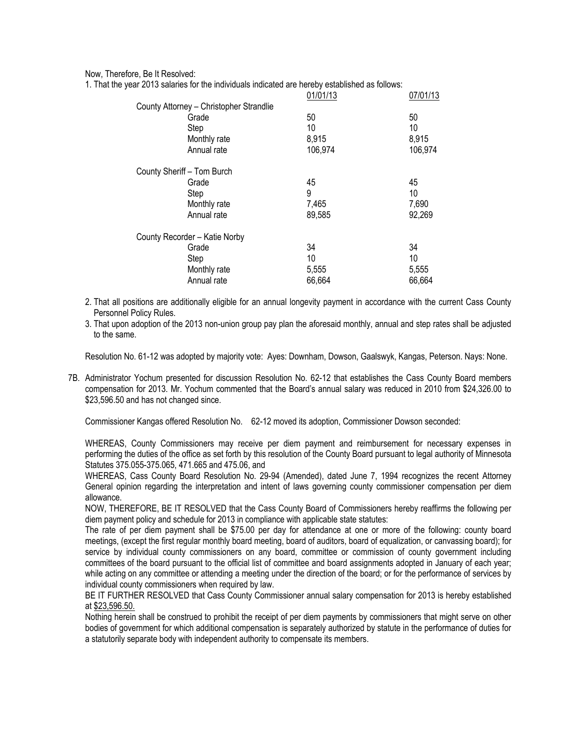Now, Therefore, Be It Resolved:

1. That the year 2013 salaries for the individuals indicated are hereby established as follows:

|                                         | 01/01/13 | 07/01/13 |
|-----------------------------------------|----------|----------|
| County Attorney - Christopher Strandlie |          |          |
| Grade                                   | 50       | 50       |
| Step                                    | 10       | 10       |
| Monthly rate                            | 8,915    | 8,915    |
| Annual rate                             | 106,974  | 106,974  |
| County Sheriff - Tom Burch              |          |          |
| Grade                                   | 45       | 45       |
| Step                                    | 9        | 10       |
| Monthly rate                            | 7,465    | 7,690    |
| Annual rate                             | 89,585   | 92,269   |
| County Recorder - Katie Norby           |          |          |
| Grade                                   | 34       | 34       |
| Step                                    | 10       | 10       |
| Monthly rate                            | 5,555    | 5,555    |
| Annual rate                             | 66,664   | 66,664   |

2. That all positions are additionally eligible for an annual longevity payment in accordance with the current Cass County Personnel Policy Rules.

3. That upon adoption of the 2013 non-union group pay plan the aforesaid monthly, annual and step rates shall be adjusted to the same.

Resolution No. 61-12 was adopted by majority vote: Ayes: Downham, Dowson, Gaalswyk, Kangas, Peterson. Nays: None.

7B. Administrator Yochum presented for discussion Resolution No. 62-12 that establishes the Cass County Board members compensation for 2013. Mr. Yochum commented that the Board's annual salary was reduced in 2010 from \$24,326.00 to \$23,596.50 and has not changed since.

Commissioner Kangas offered Resolution No. 62-12 moved its adoption, Commissioner Dowson seconded:

WHEREAS, County Commissioners may receive per diem payment and reimbursement for necessary expenses in performing the duties of the office as set forth by this resolution of the County Board pursuant to legal authority of Minnesota Statutes 375.055-375.065, 471.665 and 475.06, and

WHEREAS, Cass County Board Resolution No. 29-94 (Amended), dated June 7, 1994 recognizes the recent Attorney General opinion regarding the interpretation and intent of laws governing county commissioner compensation per diem allowance.

NOW, THEREFORE, BE IT RESOLVED that the Cass County Board of Commissioners hereby reaffirms the following per diem payment policy and schedule for 2013 in compliance with applicable state statutes:

The rate of per diem payment shall be \$75.00 per day for attendance at one or more of the following: county board meetings, (except the first regular monthly board meeting, board of auditors, board of equalization, or canvassing board); for service by individual county commissioners on any board, committee or commission of county government including committees of the board pursuant to the official list of committee and board assignments adopted in January of each year; while acting on any committee or attending a meeting under the direction of the board; or for the performance of services by individual county commissioners when required by law.

BE IT FURTHER RESOLVED that Cass County Commissioner annual salary compensation for 2013 is hereby established at \$23,596.50.

Nothing herein shall be construed to prohibit the receipt of per diem payments by commissioners that might serve on other bodies of government for which additional compensation is separately authorized by statute in the performance of duties for a statutorily separate body with independent authority to compensate its members.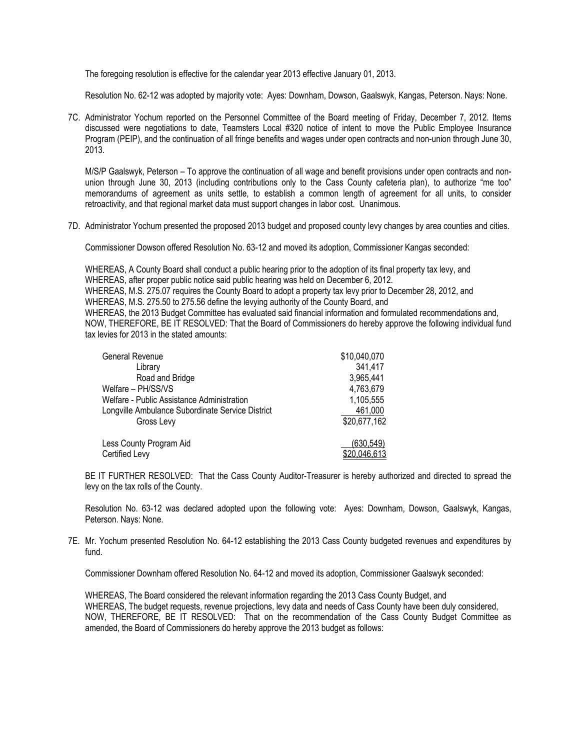The foregoing resolution is effective for the calendar year 2013 effective January 01, 2013.

Resolution No. 62-12 was adopted by majority vote: Ayes: Downham, Dowson, Gaalswyk, Kangas, Peterson. Nays: None.

7C. Administrator Yochum reported on the Personnel Committee of the Board meeting of Friday, December 7, 2012. Items discussed were negotiations to date, Teamsters Local #320 notice of intent to move the Public Employee Insurance Program (PEIP), and the continuation of all fringe benefits and wages under open contracts and non-union through June 30, 2013.

M/S/P Gaalswyk, Peterson – To approve the continuation of all wage and benefit provisions under open contracts and nonunion through June 30, 2013 (including contributions only to the Cass County cafeteria plan), to authorize "me too" memorandums of agreement as units settle, to establish a common length of agreement for all units, to consider retroactivity, and that regional market data must support changes in labor cost. Unanimous.

7D. Administrator Yochum presented the proposed 2013 budget and proposed county levy changes by area counties and cities.

Commissioner Dowson offered Resolution No. 63-12 and moved its adoption, Commissioner Kangas seconded:

WHEREAS, A County Board shall conduct a public hearing prior to the adoption of its final property tax levy, and WHEREAS, after proper public notice said public hearing was held on December 6, 2012. WHEREAS, M.S. 275.07 requires the County Board to adopt a property tax levy prior to December 28, 2012, and WHEREAS, M.S. 275.50 to 275.56 define the levying authority of the County Board, and WHEREAS, the 2013 Budget Committee has evaluated said financial information and formulated recommendations and, NOW, THEREFORE, BE IT RESOLVED: That the Board of Commissioners do hereby approve the following individual fund tax levies for 2013 in the stated amounts:

| General Revenue                                  | \$10,040,070 |
|--------------------------------------------------|--------------|
| Library                                          | 341,417      |
| Road and Bridge                                  | 3,965,441    |
| Welfare - PH/SS/VS                               | 4,763,679    |
| Welfare - Public Assistance Administration       | 1,105,555    |
| Longville Ambulance Subordinate Service District | 461,000      |
| Gross Levy                                       | \$20,677,162 |
| Less County Program Aid                          | (630, 549)   |
| Certified Levy                                   | \$20,046,613 |

BE IT FURTHER RESOLVED: That the Cass County Auditor-Treasurer is hereby authorized and directed to spread the levy on the tax rolls of the County.

Resolution No. 63-12 was declared adopted upon the following vote: Ayes: Downham, Dowson, Gaalswyk, Kangas, Peterson. Nays: None.

7E. Mr. Yochum presented Resolution No. 64-12 establishing the 2013 Cass County budgeted revenues and expenditures by fund.

Commissioner Downham offered Resolution No. 64-12 and moved its adoption, Commissioner Gaalswyk seconded:

WHEREAS, The Board considered the relevant information regarding the 2013 Cass County Budget, and WHEREAS, The budget requests, revenue projections, levy data and needs of Cass County have been duly considered, NOW, THEREFORE, BE IT RESOLVED: That on the recommendation of the Cass County Budget Committee as amended, the Board of Commissioners do hereby approve the 2013 budget as follows: